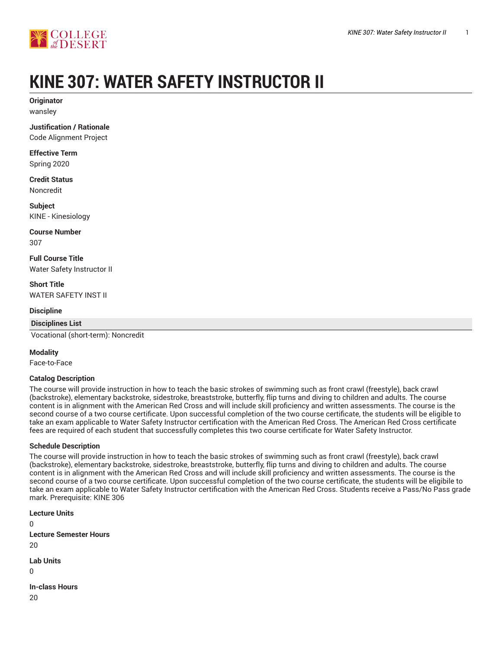

# **KINE 307: WATER SAFETY INSTRUCTOR II**

**Originator** wansley

**Justification / Rationale**

Code Alignment Project

**Effective Term** Spring 2020

**Credit Status** Noncredit

**Subject** KINE - Kinesiology

**Course Number** 307

**Full Course Title** Water Safety Instructor II

**Short Title** WATER SAFETY INST II

**Discipline**

**Disciplines List**

Vocational (short-term): Noncredit

#### **Modality**

Face-to-Face

#### **Catalog Description**

The course will provide instruction in how to teach the basic strokes of swimming such as front crawl (freestyle), back crawl (backstroke), elementary backstroke, sidestroke, breaststroke, butterfly, flip turns and diving to children and adults. The course content is in alignment with the American Red Cross and will include skill proficiency and written assessments. The course is the second course of a two course certificate. Upon successful completion of the two course certificate, the students will be eligible to take an exam applicable to Water Safety Instructor certification with the American Red Cross. The American Red Cross certificate fees are required of each student that successfully completes this two course certificate for Water Safety Instructor.

#### **Schedule Description**

The course will provide instruction in how to teach the basic strokes of swimming such as front crawl (freestyle), back crawl (backstroke), elementary backstroke, sidestroke, breaststroke, butterfly, flip turns and diving to children and adults. The course content is in alignment with the American Red Cross and will include skill proficiency and written assessments. The course is the second course of a two course certificate. Upon successful completion of the two course certificate, the students will be eligibile to take an exam applicable to Water Safety Instructor certification with the American Red Cross. Students receive a Pass/No Pass grade mark. Prerequisite: KINE 306

**Lecture Units**  $\Omega$ **Lecture Semester Hours**  $20$ **Lab Units**  $\Omega$ **In-class Hours**

20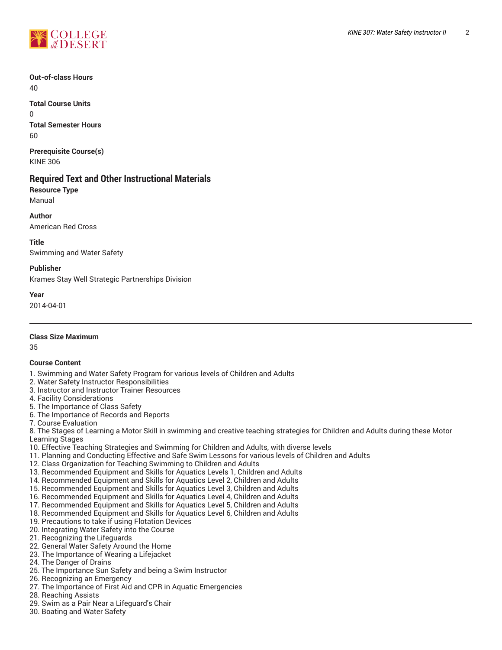

**Out-of-class Hours** 40

**Total Course Units**  $\Omega$ **Total Semester Hours** 60

**Prerequisite Course(s)** KINE 306

## **Required Text and Other Instructional Materials**

**Resource Type** Manual

**Author** American Red Cross

**Title**

Swimming and Water Safety

**Publisher** Krames Stay Well Strategic Partnerships Division

**Year**

2014-04-01

**Class Size Maximum**

35

#### **Course Content**

- 1. Swimming and Water Safety Program for various levels of Children and Adults
- 2. Water Safety Instructor Responsibilities
- 3. Instructor and Instructor Trainer Resources
- 4. Facility Considerations
- 5. The Importance of Class Safety
- 6. The Importance of Records and Reports
- 7. Course Evaluation

8. The Stages of Learning a Motor Skill in swimming and creative teaching strategies for Children and Adults during these Motor Learning Stages

- 10. Effective Teaching Strategies and Swimming for Children and Adults, with diverse levels
- 11. Planning and Conducting Effective and Safe Swim Lessons for various levels of Children and Adults
- 12. Class Organization for Teaching Swimming to Children and Adults
- 13. Recommended Equipment and Skills for Aquatics Levels 1, Children and Adults
- 14. Recommended Equipment and Skills for Aquatics Level 2, Children and Adults
- 15. Recommended Equipment and Skills for Aquatics Level 3, Children and Adults
- 16. Recommended Equipment and Skills for Aquatics Level 4, Children and Adults
- 17. Recommended Equipment and Skills for Aquatics Level 5, Children and Adults
- 18. Recommended Equipment and Skills for Aquatics Level 6, Children and Adults
- 19. Precautions to take if using Flotation Devices
- 20. Integrating Water Safety into the Course
- 21. Recognizing the Lifeguards
- 22. General Water Safety Around the Home
- 23. The Importance of Wearing a Lifejacket
- 24. The Danger of Drains
- 25. The Importance Sun Safety and being a Swim Instructor
- 26. Recognizing an Emergency
- 27. The Importance of First Aid and CPR in Aquatic Emergencies
- 28. Reaching Assists
- 29. Swim as a Pair Near a Lifeguard's Chair
- 30. Boating and Water Safety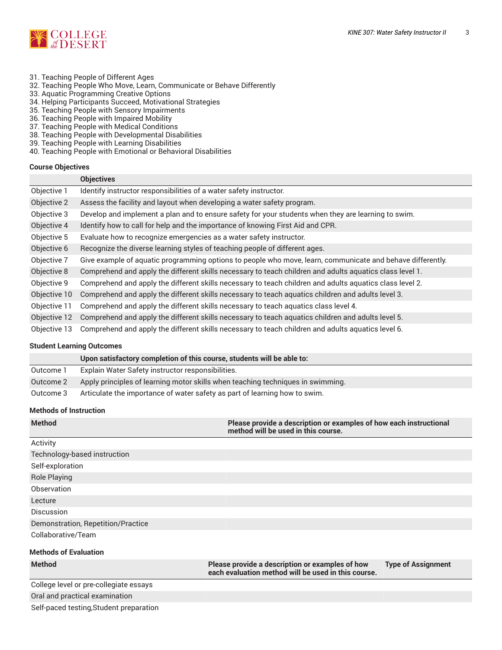

- 31. Teaching People of Different Ages
- 32. Teaching People Who Move, Learn, Communicate or Behave Differently
- 33. Aquatic Programming Creative Options
- 34. Helping Participants Succeed, Motivational Strategies
- 35. Teaching People with Sensory Impairments
- 36. Teaching People with Impaired Mobility
- 37. Teaching People with Medical Conditions
- 38. Teaching People with Developmental Disabilities
- 39. Teaching People with Learning Disabilities
- 40. Teaching People with Emotional or Behavioral Disabilities

#### **Course Objectives**

|              | <b>Objectives</b>                                                                                          |  |  |
|--------------|------------------------------------------------------------------------------------------------------------|--|--|
| Objective 1  | Identify instructor responsibilities of a water safety instructor.                                         |  |  |
| Objective 2  | Assess the facility and layout when developing a water safety program.                                     |  |  |
| Objective 3  | Develop and implement a plan and to ensure safety for your students when they are learning to swim.        |  |  |
| Objective 4  | Identify how to call for help and the importance of knowing First Aid and CPR.                             |  |  |
| Objective 5  | Evaluate how to recognize emergencies as a water safety instructor.                                        |  |  |
| Objective 6  | Recognize the diverse learning styles of teaching people of different ages.                                |  |  |
| Objective 7  | Give example of aquatic programming options to people who move, learn, communicate and behave differently. |  |  |
| Objective 8  | Comprehend and apply the different skills necessary to teach children and adults aquatics class level 1.   |  |  |
| Objective 9  | Comprehend and apply the different skills necessary to teach children and adults aquatics class level 2.   |  |  |
| Objective 10 | Comprehend and apply the different skills necessary to teach aquatics children and adults level 3.         |  |  |
| Objective 11 | Comprehend and apply the different skills necessary to teach aquatics class level 4.                       |  |  |
| Objective 12 | Comprehend and apply the different skills necessary to teach aquatics children and adults level 5.         |  |  |
| Objective 13 | Comprehend and apply the different skills necessary to teach children and adults aquatics level 6.         |  |  |

#### **Student Learning Outcomes**

|           | Upon satisfactory completion of this course, students will be able to:          |
|-----------|---------------------------------------------------------------------------------|
| Outcome 1 | Explain Water Safety instructor responsibilities.                               |
| Outcome 2 | Apply principles of learning motor skills when teaching techniques in swimming. |
| Outcome 3 | Articulate the importance of water safety as part of learning how to swim.      |

#### **Methods of Instruction**

| <b>Method</b>                      | Please provide a description or examples of how each instructional<br>method will be used in this course. |                           |  |  |
|------------------------------------|-----------------------------------------------------------------------------------------------------------|---------------------------|--|--|
| Activity                           |                                                                                                           |                           |  |  |
| Technology-based instruction       |                                                                                                           |                           |  |  |
| Self-exploration                   |                                                                                                           |                           |  |  |
| <b>Role Playing</b>                |                                                                                                           |                           |  |  |
| Observation                        |                                                                                                           |                           |  |  |
| Lecture                            |                                                                                                           |                           |  |  |
| Discussion                         |                                                                                                           |                           |  |  |
| Demonstration, Repetition/Practice |                                                                                                           |                           |  |  |
| Collaborative/Team                 |                                                                                                           |                           |  |  |
| <b>Methods of Evaluation</b>       |                                                                                                           |                           |  |  |
| <b>Method</b>                      | Please provide a description or examples of how<br>each evaluation method will be used in this course.    | <b>Type of Assignment</b> |  |  |

College level or pre-collegiate essays Oral and practical examination Self-paced testing,Student preparation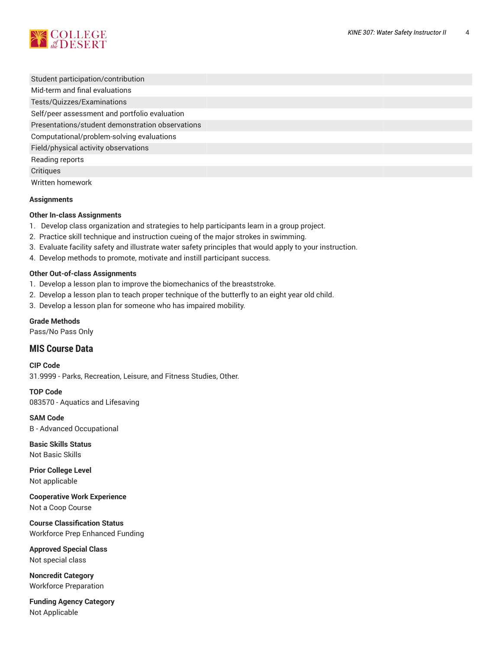

Student participation/contribution Mid-term and final evaluations Tests/Quizzes/Examinations Self/peer assessment and portfolio evaluation Presentations/student demonstration observations Computational/problem-solving evaluations Field/physical activity observations Reading reports **Critiques** 

Written homework

#### **Assignments**

#### **Other In-class Assignments**

- 1. Develop class organization and strategies to help participants learn in a group project.
- 2. Practice skill technique and instruction cueing of the major strokes in swimming.
- 3. Evaluate facility safety and illustrate water safety principles that would apply to your instruction.
- 4. Develop methods to promote, motivate and instill participant success.

#### **Other Out-of-class Assignments**

- 1. Develop a lesson plan to improve the biomechanics of the breaststroke.
- 2. Develop a lesson plan to teach proper technique of the butterfly to an eight year old child.
- 3. Develop a lesson plan for someone who has impaired mobility.

#### **Grade Methods**

Pass/No Pass Only

### **MIS Course Data**

**CIP Code** 31.9999 - Parks, Recreation, Leisure, and Fitness Studies, Other.

**TOP Code** 083570 - Aquatics and Lifesaving

**SAM Code** B - Advanced Occupational

**Basic Skills Status** Not Basic Skills

**Prior College Level** Not applicable

**Cooperative Work Experience** Not a Coop Course

**Course Classification Status** Workforce Prep Enhanced Funding

**Approved Special Class** Not special class

**Noncredit Category** Workforce Preparation

**Funding Agency Category** Not Applicable